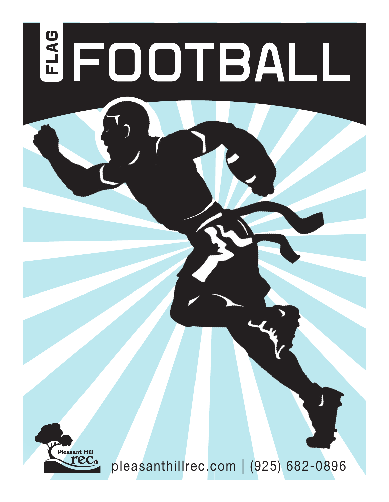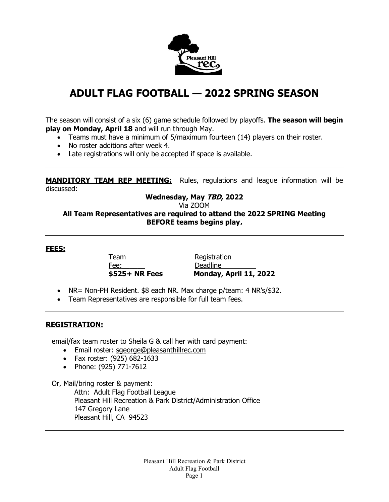

# **ADULT FLAG FOOTBALL — 2022 SPRING SEASON**

The season will consist of a six (6) game schedule followed by playoffs. **The season will begin play on Monday, April 18** and will run through May.

- Teams must have a minimum of 5/maximum fourteen (14) players on their roster.
- No roster additions after week 4.
- Late registrations will only be accepted if space is available.

**MANDITORY TEAM REP MEETING:** Rules, regulations and league information will be discussed:

## **Wednesday, May TBD, 2022**

Via ZOOM

**All Team Representatives are required to attend the 2022 SPRING Meeting BEFORE teams begins play.**

**FEES:**

Team Registration Fee: Deadline

**\$525+ NR Fees Monday, April 11, 2022**

- NR= Non-PH Resident. \$8 each NR. Max charge p/team: 4 NR's/\$32.
- Team Representatives are responsible for full team fees.

### **REGISTRATION:**

email/fax team roster to Sheila G & call her with card payment:

- Email roster: [sgeorge@pleasanthillrec.com](mailto:sgeorge@pleasanthillrec.com)
- Fax roster: (925) 682-1633
- Phone: (925) 771-7612

Or, Mail/bring roster & payment:

Attn: Adult Flag Football League Pleasant Hill Recreation & Park District/Administration Office 147 Gregory Lane Pleasant Hill, CA 94523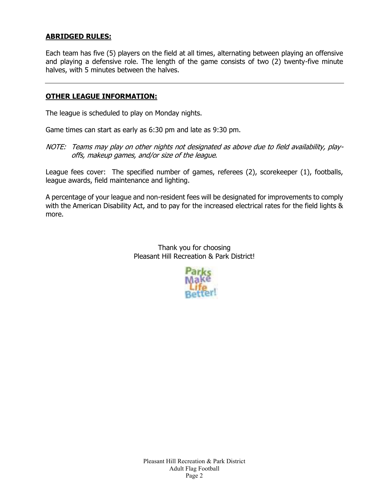## **ABRIDGED RULES:**

Each team has five (5) players on the field at all times, alternating between playing an offensive and playing a defensive role. The length of the game consists of two (2) twenty-five minute halves, with 5 minutes between the halves.

### **OTHER LEAGUE INFORMATION:**

The league is scheduled to play on Monday nights.

Game times can start as early as 6:30 pm and late as 9:30 pm.

NOTE: Teams may play on other nights not designated as above due to field availability, playoffs, makeup games, and/or size of the league.

League fees cover: The specified number of games, referees (2), scorekeeper (1), footballs, league awards, field maintenance and lighting.

A percentage of your league and non-resident fees will be designated for improvements to comply with the American Disability Act, and to pay for the increased electrical rates for the field lights & more.

> Thank you for choosing Pleasant Hill Recreation & Park District!

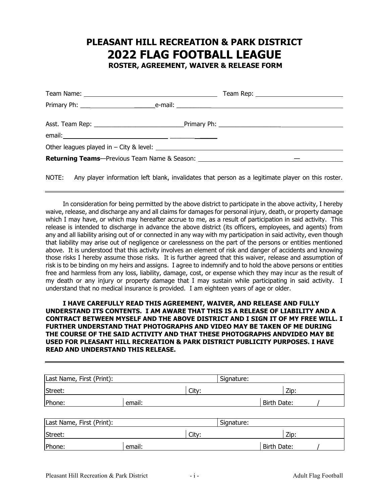## **PLEASANT HILL RECREATION & PARK DISTRICT 2022 FLAG FOOTBALL LEAGUE ROSTER, AGREEMENT, WAIVER & RELEASE FORM**

|  | Team Rep: _____________________________                                                 |
|--|-----------------------------------------------------------------------------------------|
|  |                                                                                         |
|  |                                                                                         |
|  |                                                                                         |
|  | <b>Returning Teams</b> —Previous Team Name & Season: __________________________________ |
|  |                                                                                         |

NOTE: Any player information left blank, invalidates that person as a legitimate player on this roster.

In consideration for being permitted by the above district to participate in the above activity, I hereby waive, release, and discharge any and all claims for damages for personal injury, death, or property damage which I may have, or which may hereafter accrue to me, as a result of participation in said activity. This release is intended to discharge in advance the above district (its officers, employees, and agents) from any and all liability arising out of or connected in any way with my participation in said activity, even though that liability may arise out of negligence or carelessness on the part of the persons or entities mentioned above. It is understood that this activity involves an element of risk and danger of accidents and knowing those risks I hereby assume those risks. It is further agreed that this waiver, release and assumption of risk is to be binding on my heirs and assigns. I agree to indemnify and to hold the above persons or entities free and harmless from any loss, liability, damage, cost, or expense which they may incur as the result of my death or any injury or property damage that I may sustain while participating in said activity. I understand that no medical insurance is provided. I am eighteen years of age or older.

| Last Name, First (Print): |        | Signature:  |  |
|---------------------------|--------|-------------|--|
| Street:                   | City:  | Zip:        |  |
| Phone:                    | email: | Birth Date: |  |

| Last Name, First (Print): |        |       | Signature:  |  |
|---------------------------|--------|-------|-------------|--|
| Street:                   |        | City: | Zip:        |  |
| Phone:                    | email: |       | Birth Date: |  |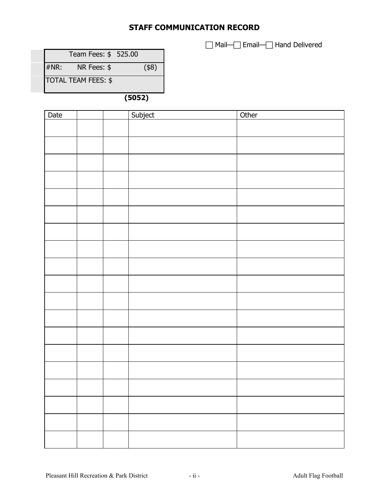## **STAFF COMMUNICATION RECORD**

□ Mail-□ Email-□ Hand Delivered

|      | Team Fees: \$ 525.00       |      |
|------|----------------------------|------|
| #NR: | NR Fees: \$                | (48) |
|      | <b>TOTAL TEAM FEES: \$</b> |      |

**(5052)**

| Date |  | Subject | Other |
|------|--|---------|-------|
|      |  |         |       |
|      |  |         |       |
|      |  |         |       |
|      |  |         |       |
|      |  |         |       |
|      |  |         |       |
|      |  |         |       |
|      |  |         |       |
|      |  |         |       |
|      |  |         |       |
|      |  |         |       |
|      |  |         |       |
|      |  |         |       |
|      |  |         |       |
|      |  |         |       |
|      |  |         |       |
|      |  |         |       |
|      |  |         |       |
|      |  |         |       |
|      |  |         |       |
|      |  |         |       |
|      |  |         |       |
|      |  |         |       |
|      |  |         |       |
|      |  |         |       |
|      |  |         |       |
|      |  |         |       |
|      |  |         |       |
|      |  |         |       |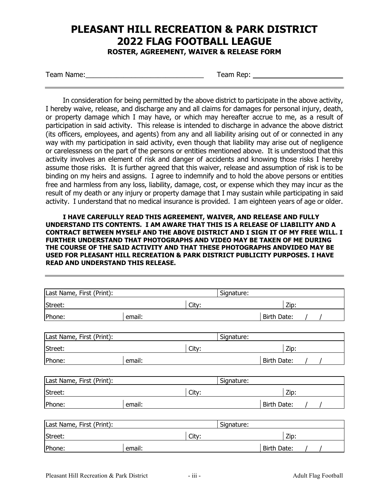# **PLEASANT HILL RECREATION & PARK DISTRICT 2022 FLAG FOOTBALL LEAGUE**

**ROSTER, AGREEMENT, WAIVER & RELEASE FORM**

Team Name:\_\_\_\_\_\_\_\_\_\_\_\_\_\_\_\_\_\_\_\_\_\_\_\_\_\_\_\_\_\_\_ Team Rep:

In consideration for being permitted by the above district to participate in the above activity, I hereby waive, release, and discharge any and all claims for damages for personal injury, death, or property damage which I may have, or which may hereafter accrue to me, as a result of participation in said activity. This release is intended to discharge in advance the above district (its officers, employees, and agents) from any and all liability arising out of or connected in any way with my participation in said activity, even though that liability may arise out of negligence or carelessness on the part of the persons or entities mentioned above. It is understood that this activity involves an element of risk and danger of accidents and knowing those risks I hereby assume those risks. It is further agreed that this waiver, release and assumption of risk is to be binding on my heirs and assigns. I agree to indemnify and to hold the above persons or entities free and harmless from any loss, liability, damage, cost, or expense which they may incur as the result of my death or any injury or property damage that I may sustain while participating in said activity. I understand that no medical insurance is provided. I am eighteen years of age or older.

| Last Name, First (Print): |        |       | Signature: |                    |      |  |
|---------------------------|--------|-------|------------|--------------------|------|--|
| Street:                   |        | City: |            |                    | Zip: |  |
| Phone:                    | email: |       |            | Birth Date:        |      |  |
|                           |        |       |            |                    |      |  |
| Last Name, First (Print): |        |       | Signature: |                    |      |  |
| Street:                   |        | City: |            |                    | Zip: |  |
| Phone:                    | email: |       |            | <b>Birth Date:</b> |      |  |
|                           |        |       |            |                    |      |  |
| Last Name, First (Print): |        |       | Signature: |                    |      |  |
| Street:                   |        | City: |            |                    | Zip: |  |
| Phone:                    | email: |       |            | <b>Birth Date:</b> |      |  |
|                           |        |       |            |                    |      |  |
| Last Name, First (Print): |        |       | Signature: |                    |      |  |
| Street:                   |        | City: |            |                    | Zip: |  |
| Phone:                    | email: |       |            | Birth Date:        |      |  |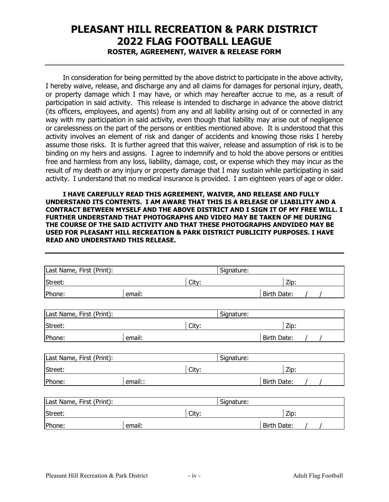# **PLEASANT HILL RECREATION & PARK DISTRICT 2022 FLAG FOOTBALL LEAGUE ROSTER, AGREEMENT, WAIVER & RELEASE FORM**

In consideration for being permitted by the above district to participate in the above activity, I hereby waive, release, and discharge any and all claims for damages for personal injury, death, or property damage which I may have, or which may hereafter accrue to me, as a result of participation in said activity. This release is intended to discharge in advance the above district (its officers, employees, and agents) from any and all liability arising out of or connected in any way with my participation in said activity, even though that liability may arise out of negligence or carelessness on the part of the persons or entities mentioned above. It is understood that this activity involves an element of risk and danger of accidents and knowing those risks I hereby assume those risks. It is further agreed that this waiver, release and assumption of risk is to be binding on my heirs and assigns. I agree to indemnify and to hold the above persons or entities free and harmless from any loss, liability, damage, cost, or expense which they may incur as the result of my death or any injury or property damage that I may sustain while participating in said activity. I understand that no medical insurance is provided. I am eighteen years of age or older.

| Last Name, First (Print): |         |       | Signature: |                    |  |
|---------------------------|---------|-------|------------|--------------------|--|
| Street:                   |         | City: |            | Zip:               |  |
| Phone:                    | email:  |       |            | Birth Date:        |  |
| Last Name, First (Print): |         |       | Signature: |                    |  |
| Street:                   |         | City: |            | Zip:               |  |
| Phone:                    | email:  |       |            | <b>Birth Date:</b> |  |
|                           |         |       |            |                    |  |
| Last Name, First (Print): |         |       | Signature: |                    |  |
| Street:                   |         | City: |            | Zip:               |  |
| Phone:                    | email:: |       |            | Birth Date:        |  |
|                           |         |       |            |                    |  |
| Last Name, First (Print): |         |       | Signature: |                    |  |
| Street:                   |         | City: |            | Zip:               |  |
| Phone:                    | email:  |       |            | <b>Birth Date:</b> |  |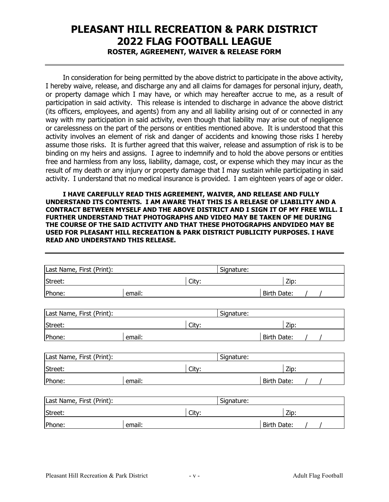# **PLEASANT HILL RECREATION & PARK DISTRICT 2022 FLAG FOOTBALL LEAGUE ROSTER, AGREEMENT, WAIVER & RELEASE FORM**

In consideration for being permitted by the above district to participate in the above activity, I hereby waive, release, and discharge any and all claims for damages for personal injury, death, or property damage which I may have, or which may hereafter accrue to me, as a result of participation in said activity. This release is intended to discharge in advance the above district (its officers, employees, and agents) from any and all liability arising out of or connected in any way with my participation in said activity, even though that liability may arise out of negligence or carelessness on the part of the persons or entities mentioned above. It is understood that this activity involves an element of risk and danger of accidents and knowing those risks I hereby assume those risks. It is further agreed that this waiver, release and assumption of risk is to be binding on my heirs and assigns. I agree to indemnify and to hold the above persons or entities free and harmless from any loss, liability, damage, cost, or expense which they may incur as the result of my death or any injury or property damage that I may sustain while participating in said activity. I understand that no medical insurance is provided. I am eighteen years of age or older.

| Last Name, First (Print): |        |       | Signature: |                    |  |
|---------------------------|--------|-------|------------|--------------------|--|
| Street:                   |        | City: |            | Zip:               |  |
| Phone:                    | email: |       |            | Birth Date:        |  |
| Last Name, First (Print): |        |       | Signature: |                    |  |
| Street:                   |        | City: |            | Zip:               |  |
| Phone:                    | email: |       |            | Birth Date:        |  |
|                           |        |       |            |                    |  |
| Last Name, First (Print): |        |       | Signature: |                    |  |
| Street:                   |        | City: |            | Zip:               |  |
| Phone:                    | email: |       |            | <b>Birth Date:</b> |  |
|                           |        |       |            |                    |  |
| Last Name, First (Print): |        |       | Signature: |                    |  |
| Street:                   |        | City: |            | Zip:               |  |
| Phone:                    | email: |       |            | Birth Date:        |  |